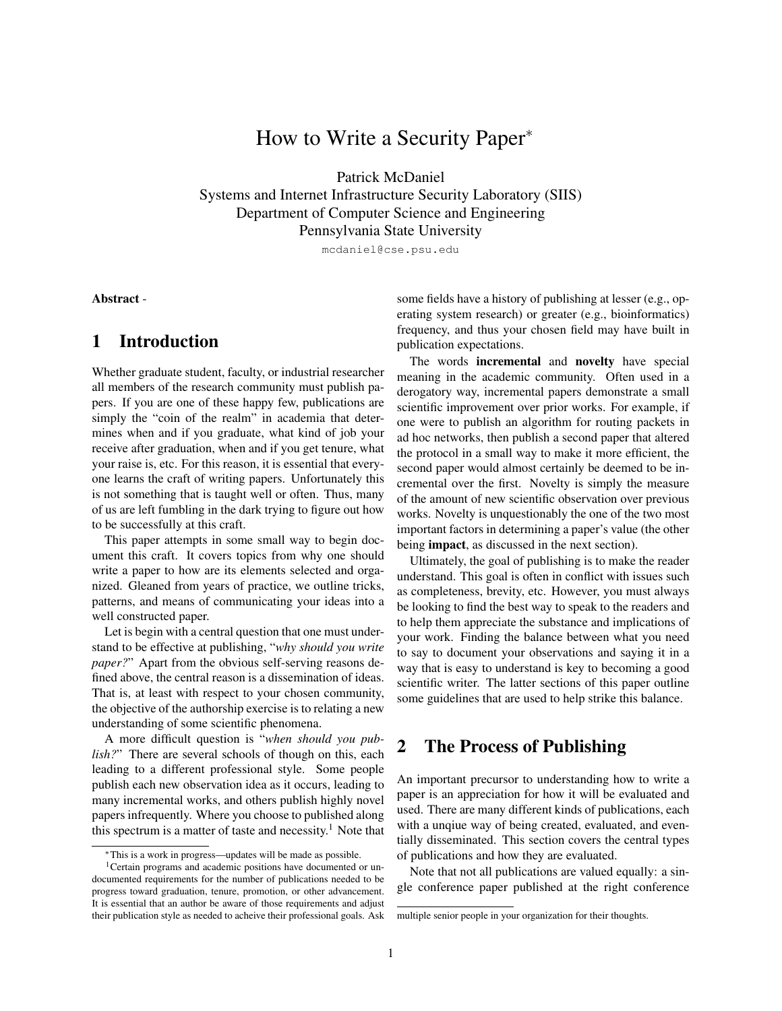# How to Write a Security Paper<sup>∗</sup>

Patrick McDaniel

Systems and Internet Infrastructure Security Laboratory (SIIS) Department of Computer Science and Engineering Pennsylvania State University

mcdaniel@cse.psu.edu

Abstract -

### 1 Introduction

Whether graduate student, faculty, or industrial researcher all members of the research community must publish papers. If you are one of these happy few, publications are simply the "coin of the realm" in academia that determines when and if you graduate, what kind of job your receive after graduation, when and if you get tenure, what your raise is, etc. For this reason, it is essential that everyone learns the craft of writing papers. Unfortunately this is not something that is taught well or often. Thus, many of us are left fumbling in the dark trying to figure out how to be successfully at this craft.

This paper attempts in some small way to begin document this craft. It covers topics from why one should write a paper to how are its elements selected and organized. Gleaned from years of practice, we outline tricks, patterns, and means of communicating your ideas into a well constructed paper.

Let is begin with a central question that one must understand to be effective at publishing, "*why should you write paper?*" Apart from the obvious self-serving reasons defined above, the central reason is a dissemination of ideas. That is, at least with respect to your chosen community, the objective of the authorship exercise is to relating a new understanding of some scientific phenomena.

A more difficult question is "*when should you publish?*" There are several schools of though on this, each leading to a different professional style. Some people publish each new observation idea as it occurs, leading to many incremental works, and others publish highly novel papers infrequently. Where you choose to published along this spectrum is a matter of taste and necessity.<sup>1</sup> Note that some fields have a history of publishing at lesser (e.g., operating system research) or greater (e.g., bioinformatics) frequency, and thus your chosen field may have built in publication expectations.

The words incremental and novelty have special meaning in the academic community. Often used in a derogatory way, incremental papers demonstrate a small scientific improvement over prior works. For example, if one were to publish an algorithm for routing packets in ad hoc networks, then publish a second paper that altered the protocol in a small way to make it more efficient, the second paper would almost certainly be deemed to be incremental over the first. Novelty is simply the measure of the amount of new scientific observation over previous works. Novelty is unquestionably the one of the two most important factors in determining a paper's value (the other being impact, as discussed in the next section).

Ultimately, the goal of publishing is to make the reader understand. This goal is often in conflict with issues such as completeness, brevity, etc. However, you must always be looking to find the best way to speak to the readers and to help them appreciate the substance and implications of your work. Finding the balance between what you need to say to document your observations and saying it in a way that is easy to understand is key to becoming a good scientific writer. The latter sections of this paper outline some guidelines that are used to help strike this balance.

## 2 The Process of Publishing

An important precursor to understanding how to write a paper is an appreciation for how it will be evaluated and used. There are many different kinds of publications, each with a unqiue way of being created, evaluated, and eventially disseminated. This section covers the central types of publications and how they are evaluated.

Note that not all publications are valued equally: a single conference paper published at the right conference

<sup>∗</sup>This is a work in progress—updates will be made as possible.

<sup>&</sup>lt;sup>1</sup>Certain programs and academic positions have documented or undocumented requirements for the number of publications needed to be progress toward graduation, tenure, promotion, or other advancement. It is essential that an author be aware of those requirements and adjust their publication style as needed to acheive their professional goals. Ask

multiple senior people in your organization for their thoughts.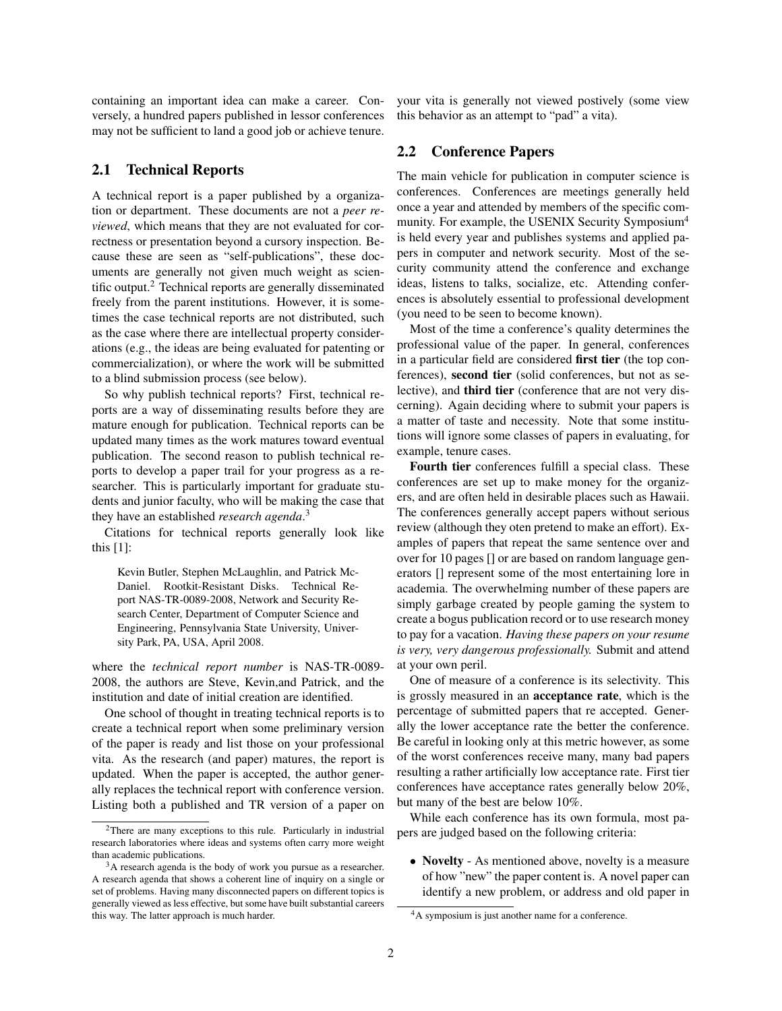containing an important idea can make a career. Conversely, a hundred papers published in lessor conferences may not be sufficient to land a good job or achieve tenure.

#### 2.1 Technical Reports

A technical report is a paper published by a organization or department. These documents are not a *peer reviewed*, which means that they are not evaluated for correctness or presentation beyond a cursory inspection. Because these are seen as "self-publications", these documents are generally not given much weight as scientific output.<sup>2</sup> Technical reports are generally disseminated freely from the parent institutions. However, it is sometimes the case technical reports are not distributed, such as the case where there are intellectual property considerations (e.g., the ideas are being evaluated for patenting or commercialization), or where the work will be submitted to a blind submission process (see below).

So why publish technical reports? First, technical reports are a way of disseminating results before they are mature enough for publication. Technical reports can be updated many times as the work matures toward eventual publication. The second reason to publish technical reports to develop a paper trail for your progress as a researcher. This is particularly important for graduate students and junior faculty, who will be making the case that they have an established *research agenda*. 3

Citations for technical reports generally look like this [1]:

Kevin Butler, Stephen McLaughlin, and Patrick Mc-Daniel. Rootkit-Resistant Disks. Technical Report NAS-TR-0089-2008, Network and Security Research Center, Department of Computer Science and Engineering, Pennsylvania State University, University Park, PA, USA, April 2008.

where the *technical report number* is NAS-TR-0089- 2008, the authors are Steve, Kevin,and Patrick, and the institution and date of initial creation are identified.

One school of thought in treating technical reports is to create a technical report when some preliminary version of the paper is ready and list those on your professional vita. As the research (and paper) matures, the report is updated. When the paper is accepted, the author generally replaces the technical report with conference version. Listing both a published and TR version of a paper on your vita is generally not viewed postively (some view this behavior as an attempt to "pad" a vita).

#### 2.2 Conference Papers

The main vehicle for publication in computer science is conferences. Conferences are meetings generally held once a year and attended by members of the specific community. For example, the USENIX Security Symposium<sup>4</sup> is held every year and publishes systems and applied papers in computer and network security. Most of the security community attend the conference and exchange ideas, listens to talks, socialize, etc. Attending conferences is absolutely essential to professional development (you need to be seen to become known).

Most of the time a conference's quality determines the professional value of the paper. In general, conferences in a particular field are considered first tier (the top conferences), second tier (solid conferences, but not as selective), and third tier (conference that are not very discerning). Again deciding where to submit your papers is a matter of taste and necessity. Note that some institutions will ignore some classes of papers in evaluating, for example, tenure cases.

Fourth tier conferences fulfill a special class. These conferences are set up to make money for the organizers, and are often held in desirable places such as Hawaii. The conferences generally accept papers without serious review (although they oten pretend to make an effort). Examples of papers that repeat the same sentence over and over for 10 pages [] or are based on random language generators [] represent some of the most entertaining lore in academia. The overwhelming number of these papers are simply garbage created by people gaming the system to create a bogus publication record or to use research money to pay for a vacation. *Having these papers on your resume is very, very dangerous professionally.* Submit and attend at your own peril.

One of measure of a conference is its selectivity. This is grossly measured in an acceptance rate, which is the percentage of submitted papers that re accepted. Generally the lower acceptance rate the better the conference. Be careful in looking only at this metric however, as some of the worst conferences receive many, many bad papers resulting a rather artificially low acceptance rate. First tier conferences have acceptance rates generally below 20%, but many of the best are below 10%.

While each conference has its own formula, most papers are judged based on the following criteria:

• Novelty - As mentioned above, novelty is a measure of how "new" the paper content is. A novel paper can identify a new problem, or address and old paper in

<sup>2</sup>There are many exceptions to this rule. Particularly in industrial research laboratories where ideas and systems often carry more weight than academic publications.

<sup>&</sup>lt;sup>3</sup>A research agenda is the body of work you pursue as a researcher. A research agenda that shows a coherent line of inquiry on a single or set of problems. Having many disconnected papers on different topics is generally viewed as less effective, but some have built substantial careers this way. The latter approach is much harder.

<sup>4</sup>A symposium is just another name for a conference.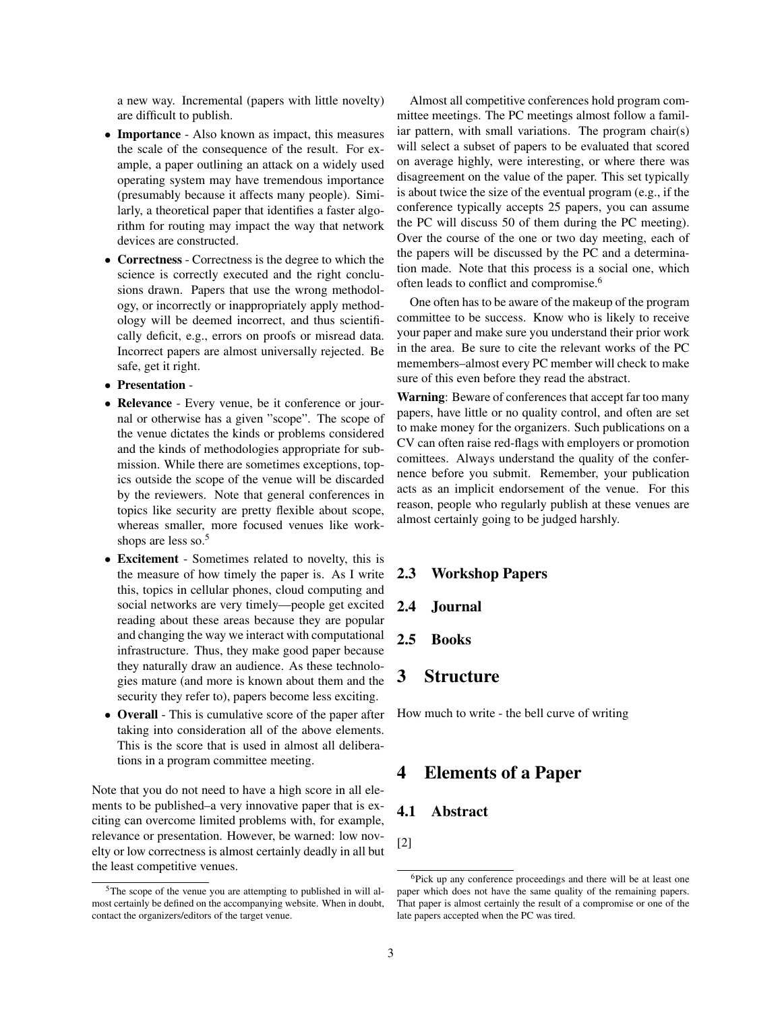a new way. Incremental (papers with little novelty) are difficult to publish.

- Importance Also known as impact, this measures the scale of the consequence of the result. For example, a paper outlining an attack on a widely used operating system may have tremendous importance (presumably because it affects many people). Similarly, a theoretical paper that identifies a faster algorithm for routing may impact the way that network devices are constructed.
- Correctness Correctness is the degree to which the science is correctly executed and the right conclusions drawn. Papers that use the wrong methodology, or incorrectly or inappropriately apply methodology will be deemed incorrect, and thus scientifically deficit, e.g., errors on proofs or misread data. Incorrect papers are almost universally rejected. Be safe, get it right.
- Presentation -
- **Relevance** Every venue, be it conference or journal or otherwise has a given "scope". The scope of the venue dictates the kinds or problems considered and the kinds of methodologies appropriate for submission. While there are sometimes exceptions, topics outside the scope of the venue will be discarded by the reviewers. Note that general conferences in topics like security are pretty flexible about scope, whereas smaller, more focused venues like workshops are less so.<sup>5</sup>
- Excitement Sometimes related to novelty, this is the measure of how timely the paper is. As I write this, topics in cellular phones, cloud computing and social networks are very timely—people get excited reading about these areas because they are popular and changing the way we interact with computational infrastructure. Thus, they make good paper because they naturally draw an audience. As these technologies mature (and more is known about them and the security they refer to), papers become less exciting.
- Overall This is cumulative score of the paper after taking into consideration all of the above elements. This is the score that is used in almost all deliberations in a program committee meeting.

Note that you do not need to have a high score in all elements to be published–a very innovative paper that is exciting can overcome limited problems with, for example, relevance or presentation. However, be warned: low novelty or low correctness is almost certainly deadly in all but the least competitive venues.

Almost all competitive conferences hold program committee meetings. The PC meetings almost follow a familiar pattern, with small variations. The program chair(s) will select a subset of papers to be evaluated that scored on average highly, were interesting, or where there was disagreement on the value of the paper. This set typically is about twice the size of the eventual program (e.g., if the conference typically accepts 25 papers, you can assume the PC will discuss 50 of them during the PC meeting). Over the course of the one or two day meeting, each of the papers will be discussed by the PC and a determination made. Note that this process is a social one, which often leads to conflict and compromise.<sup>6</sup>

One often has to be aware of the makeup of the program committee to be success. Know who is likely to receive your paper and make sure you understand their prior work in the area. Be sure to cite the relevant works of the PC memembers–almost every PC member will check to make sure of this even before they read the abstract.

Warning: Beware of conferences that accept far too many papers, have little or no quality control, and often are set to make money for the organizers. Such publications on a CV can often raise red-flags with employers or promotion comittees. Always understand the quality of the confernence before you submit. Remember, your publication acts as an implicit endorsement of the venue. For this reason, people who regularly publish at these venues are almost certainly going to be judged harshly.

#### 2.3 Workshop Papers

#### 2.4 Journal

2.5 Books

### 3 Structure

How much to write - the bell curve of writing

#### 4 Elements of a Paper

#### 4.1 Abstract

[2]

<sup>5</sup>The scope of the venue you are attempting to published in will almost certainly be defined on the accompanying website. When in doubt, contact the organizers/editors of the target venue.

<sup>6</sup>Pick up any conference proceedings and there will be at least one paper which does not have the same quality of the remaining papers. That paper is almost certainly the result of a compromise or one of the late papers accepted when the PC was tired.